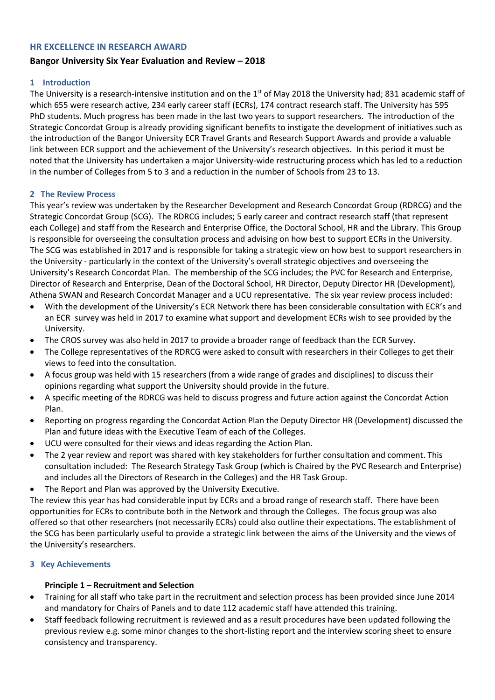#### **HR EXCELLENCE IN RESEARCH AWARD**

# **Bangor University Six Year Evaluation and Review – 2018**

#### **1 Introduction**

The University is a research-intensive institution and on the 1<sup>st</sup> of May 2018 the University had; 831 academic staff of which 655 were research active, 234 early career staff (ECRs), 174 contract research staff. The University has 595 PhD students. Much progress has been made in the last two years to support researchers. The introduction of the Strategic Concordat Group is already providing significant benefits to instigate the development of initiatives such as the introduction of the Bangor University ECR Travel Grants and Research Support Awards and provide a valuable link between ECR support and the achievement of the University's research objectives. In this period it must be noted that the University has undertaken a major University-wide restructuring process which has led to a reduction in the number of Colleges from 5 to 3 and a reduction in the number of Schools from 23 to 13.

#### **2 The Review Process**

This year's review was undertaken by the Researcher Development and Research Concordat Group (RDRCG) and the Strategic Concordat Group (SCG). The RDRCG includes; 5 early career and contract research staff (that represent each College) and staff from the Research and Enterprise Office, the Doctoral School, HR and the Library. This Group is responsible for overseeing the consultation process and advising on how best to support ECRs in the University. The SCG was established in 2017 and is responsible for taking a strategic view on how best to support researchers in the University - particularly in the context of the University's overall strategic objectives and overseeing the University's Research Concordat Plan. The membership of the SCG includes; the PVC for Research and Enterprise, Director of Research and Enterprise, Dean of the Doctoral School, HR Director, Deputy Director HR (Development), Athena SWAN and Research Concordat Manager and a UCU representative. The six year review process included:

- With the development of the University's ECR Network there has been considerable consultation with ECR's and an ECR survey was held in 2017 to examine what support and development ECRs wish to see provided by the University.
- The CROS survey was also held in 2017 to provide a broader range of feedback than the ECR Survey.
- The College representatives of the RDRCG were asked to consult with researchers in their Colleges to get their views to feed into the consultation.
- A focus group was held with 15 researchers (from a wide range of grades and disciplines) to discuss their opinions regarding what support the University should provide in the future.
- A specific meeting of the RDRCG was held to discuss progress and future action against the Concordat Action Plan.
- Reporting on progress regarding the Concordat Action Plan the Deputy Director HR (Development) discussed the Plan and future ideas with the Executive Team of each of the Colleges.
- UCU were consulted for their views and ideas regarding the Action Plan.
- The 2 year review and report was shared with key stakeholders for further consultation and comment. This consultation included: The Research Strategy Task Group (which is Chaired by the PVC Research and Enterprise) and includes all the Directors of Research in the Colleges) and the HR Task Group.
- The Report and Plan was approved by the University Executive.

The review this year has had considerable input by ECRs and a broad range of research staff. There have been opportunities for ECRs to contribute both in the Network and through the Colleges. The focus group was also offered so that other researchers (not necessarily ECRs) could also outline their expectations. The establishment of the SCG has been particularly useful to provide a strategic link between the aims of the University and the views of the University's researchers.

#### **3 Key Achievements**

# **Principle 1 – Recruitment and Selection**

- Training for all staff who take part in the recruitment and selection process has been provided since June 2014 and mandatory for Chairs of Panels and to date 112 academic staff have attended this training.
- Staff feedback following recruitment is reviewed and as a result procedures have been updated following the previous review e.g. some minor changes to the short-listing report and the interview scoring sheet to ensure consistency and transparency.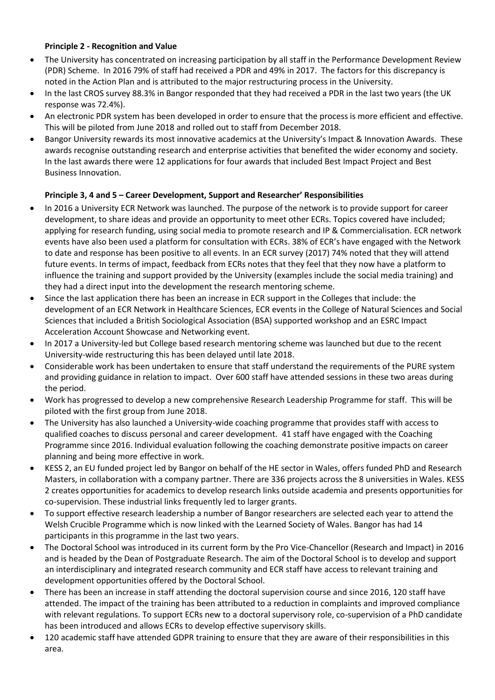# **Principle 2 - Recognition and Value**

- The University has concentrated on increasing participation by all staff in the Performance Development Review (PDR) Scheme. In 2016 79% of staff had received a PDR and 49% in 2017. The factors for this discrepancy is noted in the Action Plan and is attributed to the major restructuring process in the University.
- In the last CROS survey 88.3% in Bangor responded that they had received a PDR in the last two years (the UK response was 72.4%).
- An electronic PDR system has been developed in order to ensure that the process is more efficient and effective. This will be piloted from June 2018 and rolled out to staff from December 2018.
- Bangor University rewards its most innovative academics at the University's Impact & Innovation Awards. These awards recognise outstanding research and enterprise activities that benefited the wider economy and society. In the last awards there were 12 applications for four awards that included Best Impact Project and Best Business Innovation.

# **Principle 3, 4 and 5 – Career Development, Support and Researcher' Responsibilities**

- In 2016 a University ECR Network was launched. The purpose of the network is to provide support for career development, to share ideas and provide an opportunity to meet other ECRs. Topics covered have included; applying for research funding, using social media to promote research and IP & Commercialisation. ECR network events have also been used a platform for consultation with ECRs. 38% of ECR's have engaged with the Network to date and response has been positive to all events. In an ECR survey (2017) 74% noted that they will attend future events. In terms of impact, feedback from ECRs notes that they feel that they now have a platform to influence the training and support provided by the University (examples include the social media training) and they had a direct input into the development the research mentoring scheme.
- Since the last application there has been an increase in ECR support in the Colleges that include: the development of an ECR Network in Healthcare Sciences, ECR events in the College of Natural Sciences and Social Sciences that included a British Sociological Association (BSA) supported workshop and an ESRC Impact Acceleration Account Showcase and Networking event.
- In 2017 a University-led but College based research mentoring scheme was launched but due to the recent University-wide restructuring this has been delayed until late 2018.
- Considerable work has been undertaken to ensure that staff understand the requirements of the PURE system and providing guidance in relation to impact. Over 600 staff have attended sessions in these two areas during the period.
- Work has progressed to develop a new comprehensive Research Leadership Programme for staff. This will be piloted with the first group from June 2018.
- The University has also launched a University-wide coaching programme that provides staff with access to qualified coaches to discuss personal and career development. 41 staff have engaged with the Coaching Programme since 2016. Individual evaluation following the coaching demonstrate positive impacts on career planning and being more effective in work.
- KESS 2, an EU funded project led by Bangor on behalf of the HE sector in Wales, offers funded PhD and Research Masters, in collaboration with a company partner. There are 336 projects across the 8 universities in Wales. KESS 2 creates opportunities for academics to develop research links outside academia and presents opportunities for co-supervision. These industrial links frequently led to larger grants.
- To support effective research leadership a number of Bangor researchers are selected each year to attend the Welsh Crucible Programme which is now linked with the Learned Society of Wales. Bangor has had 14 participants in this programme in the last two years.
- The Doctoral School was introduced in its current form by the Pro Vice-Chancellor (Research and Impact) in 2016 and is headed by the Dean of Postgraduate Research. The aim of the Doctoral School is to develop and support an interdisciplinary and integrated research community and ECR staff have access to relevant training and development opportunities offered by the Doctoral School.
- There has been an increase in staff attending the doctoral supervision course and since 2016, 120 staff have attended. The impact of the training has been attributed to a reduction in complaints and improved compliance with relevant regulations. To support ECRs new to a doctoral supervisory role, co-supervision of a PhD candidate has been introduced and allows ECRs to develop effective supervisory skills.
- 120 academic staff have attended GDPR training to ensure that they are aware of their responsibilities in this area.